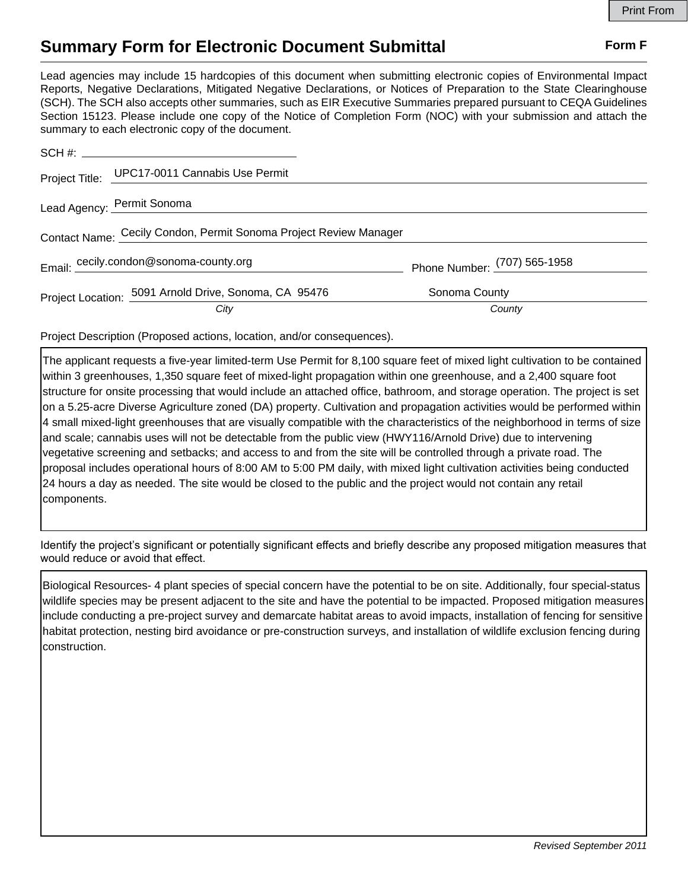## **Summary Form for Electronic Document Submittal Form F Form F**

Lead agencies may include 15 hardcopies of this document when submitting electronic copies of Environmental Impact Reports, Negative Declarations, Mitigated Negative Declarations, or Notices of Preparation to the State Clearinghouse (SCH). The SCH also accepts other summaries, such as EIR Executive Summaries prepared pursuant to CEQA Guidelines Section 15123. Please include one copy of the Notice of Completion Form (NOC) with your submission and attach the summary to each electronic copy of the document.

|                                                                   | Project Title: UPC17-0011 Cannabis Use Permit         |                              |
|-------------------------------------------------------------------|-------------------------------------------------------|------------------------------|
|                                                                   | Lead Agency: Permit Sonoma                            |                              |
| Contact Name: Cecily Condon, Permit Sonoma Project Review Manager |                                                       |                              |
|                                                                   | Email: cecily.condon@sonoma-county.org                | Phone Number: (707) 565-1958 |
|                                                                   | Project Location: 5091 Arnold Drive, Sonoma, CA 95476 | Sonoma County                |
|                                                                   | City                                                  | County                       |

Project Description (Proposed actions, location, and/or consequences).

The applicant requests a five-year limited-term Use Permit for 8,100 square feet of mixed light cultivation to be contained within 3 greenhouses, 1,350 square feet of mixed-light propagation within one greenhouse, and a 2,400 square foot structure for onsite processing that would include an attached office, bathroom, and storage operation. The project is set on a 5.25-acre Diverse Agriculture zoned (DA) property. Cultivation and propagation activities would be performed within 4 small mixed-light greenhouses that are visually compatible with the characteristics of the neighborhood in terms of size and scale; cannabis uses will not be detectable from the public view (HWY116/Arnold Drive) due to intervening vegetative screening and setbacks; and access to and from the site will be controlled through a private road. The proposal includes operational hours of 8:00 AM to 5:00 PM daily, with mixed light cultivation activities being conducted 24 hours a day as needed. The site would be closed to the public and the project would not contain any retail components.

Identify the project's significant or potentially significant effects and briefly describe any proposed mitigation measures that would reduce or avoid that effect.

Biological Resources- 4 plant species of special concern have the potential to be on site. Additionally, four special-status wildlife species may be present adjacent to the site and have the potential to be impacted. Proposed mitigation measures include conducting a pre-project survey and demarcate habitat areas to avoid impacts, installation of fencing for sensitive habitat protection, nesting bird avoidance or pre-construction surveys, and installation of wildlife exclusion fencing during construction.